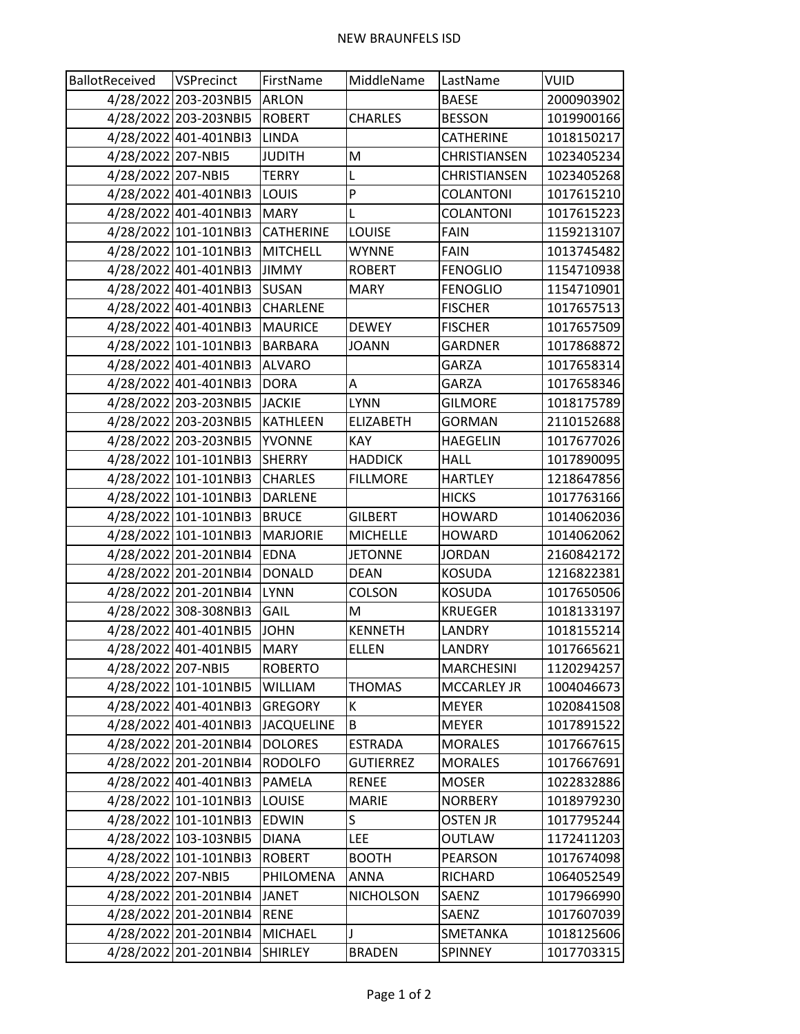| BallotReceived     | VSPrecinct            | FirstName         | MiddleName       | LastName            | <b>VUID</b> |
|--------------------|-----------------------|-------------------|------------------|---------------------|-------------|
|                    | 4/28/2022 203-203NBI5 | <b>ARLON</b>      |                  | <b>BAESE</b>        | 2000903902  |
|                    | 4/28/2022 203-203NBI5 | <b>ROBERT</b>     | <b>CHARLES</b>   | <b>BESSON</b>       | 1019900166  |
|                    | 4/28/2022 401-401NBI3 | <b>LINDA</b>      |                  | <b>CATHERINE</b>    | 1018150217  |
| 4/28/2022 207-NBI5 |                       | <b>JUDITH</b>     | M                | <b>CHRISTIANSEN</b> | 1023405234  |
| 4/28/2022 207-NBI5 |                       | <b>TERRY</b>      | Г                | <b>CHRISTIANSEN</b> | 1023405268  |
|                    | 4/28/2022 401-401NBI3 | LOUIS             | P                | COLANTONI           | 1017615210  |
|                    | 4/28/2022 401-401NBI3 | <b>MARY</b>       | L                | COLANTONI           | 1017615223  |
|                    | 4/28/2022 101-101NBI3 | <b>CATHERINE</b>  | LOUISE           | <b>FAIN</b>         | 1159213107  |
|                    | 4/28/2022 101-101NBI3 | <b>MITCHELL</b>   | <b>WYNNE</b>     | <b>FAIN</b>         | 1013745482  |
|                    | 4/28/2022 401-401NBI3 | <b>JIMMY</b>      | <b>ROBERT</b>    | <b>FENOGLIO</b>     | 1154710938  |
|                    | 4/28/2022 401-401NBI3 | SUSAN             | <b>MARY</b>      | <b>FENOGLIO</b>     | 1154710901  |
|                    | 4/28/2022 401-401NBI3 | <b>CHARLENE</b>   |                  | <b>FISCHER</b>      | 1017657513  |
|                    | 4/28/2022 401-401NBI3 | <b>MAURICE</b>    | <b>DEWEY</b>     | <b>FISCHER</b>      | 1017657509  |
|                    | 4/28/2022 101-101NBI3 | <b>BARBARA</b>    | <b>JOANN</b>     | <b>GARDNER</b>      | 1017868872  |
|                    | 4/28/2022 401-401NBI3 | <b>ALVARO</b>     |                  | <b>GARZA</b>        | 1017658314  |
|                    | 4/28/2022 401-401NBI3 | <b>DORA</b>       | A                | <b>GARZA</b>        | 1017658346  |
|                    | 4/28/2022 203-203NBI5 | <b>JACKIE</b>     | <b>LYNN</b>      | <b>GILMORE</b>      | 1018175789  |
|                    | 4/28/2022 203-203NBI5 | <b>KATHLEEN</b>   | <b>ELIZABETH</b> | <b>GORMAN</b>       | 2110152688  |
|                    | 4/28/2022 203-203NBI5 | YVONNE            | <b>KAY</b>       | <b>HAEGELIN</b>     | 1017677026  |
|                    | 4/28/2022 101-101NBI3 | <b>SHERRY</b>     | <b>HADDICK</b>   | <b>HALL</b>         | 1017890095  |
|                    | 4/28/2022 101-101NBI3 | <b>CHARLES</b>    | <b>FILLMORE</b>  | <b>HARTLEY</b>      | 1218647856  |
|                    | 4/28/2022 101-101NBI3 | DARLENE           |                  | <b>HICKS</b>        | 1017763166  |
|                    | 4/28/2022 101-101NBI3 | <b>BRUCE</b>      | <b>GILBERT</b>   | <b>HOWARD</b>       | 1014062036  |
|                    | 4/28/2022 101-101NBI3 | <b>MARJORIE</b>   | <b>MICHELLE</b>  | <b>HOWARD</b>       | 1014062062  |
|                    | 4/28/2022 201-201NBI4 | <b>EDNA</b>       | <b>JETONNE</b>   | <b>JORDAN</b>       | 2160842172  |
|                    | 4/28/2022 201-201NBI4 | <b>DONALD</b>     | <b>DEAN</b>      | <b>KOSUDA</b>       | 1216822381  |
|                    | 4/28/2022 201-201NBI4 | <b>LYNN</b>       | <b>COLSON</b>    | <b>KOSUDA</b>       | 1017650506  |
|                    | 4/28/2022 308-308NBI3 | GAIL              | M                | <b>KRUEGER</b>      | 1018133197  |
|                    | 4/28/2022 401-401NBI5 | <b>JOHN</b>       | <b>KENNETH</b>   | LANDRY              | 1018155214  |
|                    | 4/28/2022 401-401NBI5 | <b>MARY</b>       | <b>ELLEN</b>     | LANDRY              | 1017665621  |
| 4/28/2022 207-NBI5 |                       | <b>ROBERTO</b>    |                  | <b>MARCHESINI</b>   | 1120294257  |
|                    | 4/28/2022 101-101NBI5 | WILLIAM           | <b>THOMAS</b>    | <b>MCCARLEY JR</b>  | 1004046673  |
|                    | 4/28/2022 401-401NBI3 | <b>GREGORY</b>    | К                | <b>MEYER</b>        | 1020841508  |
|                    | 4/28/2022 401-401NBI3 | <b>JACQUELINE</b> | B                | <b>MEYER</b>        | 1017891522  |
|                    | 4/28/2022 201-201NBI4 | <b>DOLORES</b>    | <b>ESTRADA</b>   | <b>MORALES</b>      | 1017667615  |
|                    | 4/28/2022 201-201NBI4 | <b>RODOLFO</b>    | <b>GUTIERREZ</b> | <b>MORALES</b>      | 1017667691  |
|                    | 4/28/2022 401-401NBI3 | PAMELA            | <b>RENEE</b>     | <b>MOSER</b>        | 1022832886  |
|                    | 4/28/2022 101-101NBI3 | <b>LOUISE</b>     | <b>MARIE</b>     | <b>NORBERY</b>      | 1018979230  |
|                    | 4/28/2022 101-101NBI3 | <b>EDWIN</b>      | S                | OSTEN JR            | 1017795244  |
|                    | 4/28/2022 103-103NBI5 | DIANA             | <b>LEE</b>       | OUTLAW              | 1172411203  |
|                    | 4/28/2022 101-101NBI3 | <b>ROBERT</b>     | <b>BOOTH</b>     | PEARSON             | 1017674098  |
| 4/28/2022 207-NBI5 |                       | PHILOMENA         | ANNA             | RICHARD             | 1064052549  |
|                    | 4/28/2022 201-201NBI4 | <b>JANET</b>      | <b>NICHOLSON</b> | SAENZ               | 1017966990  |
|                    | 4/28/2022 201-201NBI4 | <b>RENE</b>       |                  | SAENZ               | 1017607039  |
|                    | 4/28/2022 201-201NBI4 | <b>MICHAEL</b>    |                  | SMETANKA            | 1018125606  |
|                    | 4/28/2022 201-201NBI4 | SHIRLEY           | <b>BRADEN</b>    | SPINNEY             | 1017703315  |